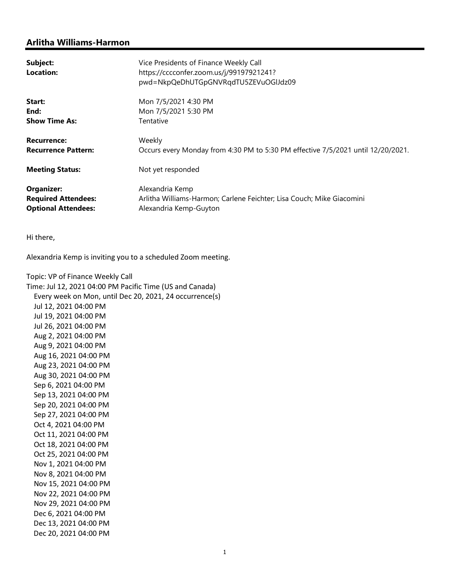## Arlitha Williams-Harmon

| Subject:<br>Location:                                                         | Vice Presidents of Finance Weekly Call<br>https://cccconfer.zoom.us/j/99197921241?<br>pwd=NkpQeDhUTGpGNVRqdTU5ZEVuOGlJdz09 |
|-------------------------------------------------------------------------------|----------------------------------------------------------------------------------------------------------------------------|
| Start:                                                                        | Mon 7/5/2021 4:30 PM                                                                                                       |
| End:                                                                          | Mon 7/5/2021 5:30 PM                                                                                                       |
| <b>Show Time As:</b>                                                          | Tentative                                                                                                                  |
| <b>Recurrence:</b>                                                            | Weekly                                                                                                                     |
| <b>Recurrence Pattern:</b>                                                    | Occurs every Monday from 4:30 PM to 5:30 PM effective 7/5/2021 until 12/20/2021.                                           |
| <b>Meeting Status:</b>                                                        | Not yet responded                                                                                                          |
| <b>Organizer:</b><br><b>Required Attendees:</b><br><b>Optional Attendees:</b> | Alexandria Kemp<br>Arlitha Williams-Harmon; Carlene Feichter; Lisa Couch; Mike Giacomini<br>Alexandria Kemp-Guyton         |

Hi there,

Alexandria Kemp is inviting you to a scheduled Zoom meeting.

Topic: VP of Finance Weekly Call Time: Jul 12, 2021 04:00 PM Pacific Time (US and Canada) Every week on Mon, until Dec 20, 2021, 24 occurrence(s) Jul 12, 2021 04:00 PM Jul 19, 2021 04:00 PM Jul 26, 2021 04:00 PM Aug 2, 2021 04:00 PM Aug 9, 2021 04:00 PM Aug 16, 2021 04:00 PM Aug 23, 2021 04:00 PM Aug 30, 2021 04:00 PM Sep 6, 2021 04:00 PM Sep 13, 2021 04:00 PM Sep 20, 2021 04:00 PM Sep 27, 2021 04:00 PM Oct 4, 2021 04:00 PM Oct 11, 2021 04:00 PM Oct 18, 2021 04:00 PM Oct 25, 2021 04:00 PM Nov 1, 2021 04:00 PM Nov 8, 2021 04:00 PM Nov 15, 2021 04:00 PM Nov 22, 2021 04:00 PM Nov 29, 2021 04:00 PM Dec 6, 2021 04:00 PM Dec 13, 2021 04:00 PM Dec 20, 2021 04:00 PM